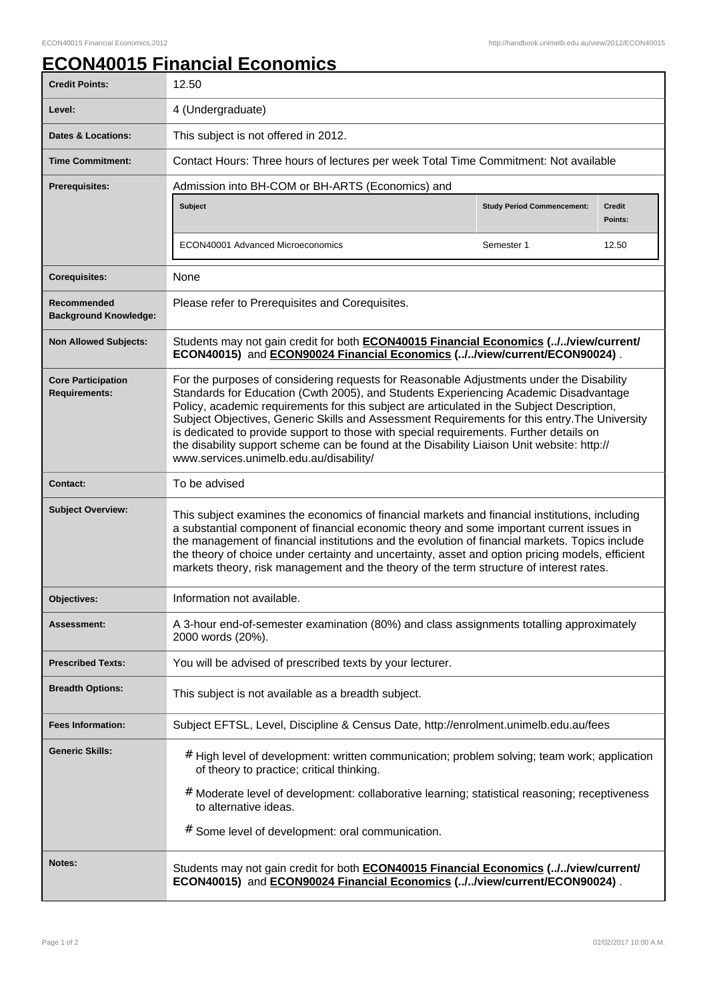## **ECON40015 Financial Economics**

| <b>Credit Points:</b>                             | 12.50                                                                                                                                                                                                                                                                                                                                                                                                                                                                                                                                                                                                              |                                   |                   |
|---------------------------------------------------|--------------------------------------------------------------------------------------------------------------------------------------------------------------------------------------------------------------------------------------------------------------------------------------------------------------------------------------------------------------------------------------------------------------------------------------------------------------------------------------------------------------------------------------------------------------------------------------------------------------------|-----------------------------------|-------------------|
| Level:                                            | 4 (Undergraduate)                                                                                                                                                                                                                                                                                                                                                                                                                                                                                                                                                                                                  |                                   |                   |
| <b>Dates &amp; Locations:</b>                     | This subject is not offered in 2012.                                                                                                                                                                                                                                                                                                                                                                                                                                                                                                                                                                               |                                   |                   |
| <b>Time Commitment:</b>                           | Contact Hours: Three hours of lectures per week Total Time Commitment: Not available                                                                                                                                                                                                                                                                                                                                                                                                                                                                                                                               |                                   |                   |
| <b>Prerequisites:</b>                             | Admission into BH-COM or BH-ARTS (Economics) and                                                                                                                                                                                                                                                                                                                                                                                                                                                                                                                                                                   |                                   |                   |
|                                                   | <b>Subject</b>                                                                                                                                                                                                                                                                                                                                                                                                                                                                                                                                                                                                     | <b>Study Period Commencement:</b> | Credit<br>Points: |
|                                                   | ECON40001 Advanced Microeconomics                                                                                                                                                                                                                                                                                                                                                                                                                                                                                                                                                                                  | Semester 1                        | 12.50             |
| <b>Corequisites:</b>                              | None                                                                                                                                                                                                                                                                                                                                                                                                                                                                                                                                                                                                               |                                   |                   |
| Recommended<br><b>Background Knowledge:</b>       | Please refer to Prerequisites and Corequisites.                                                                                                                                                                                                                                                                                                                                                                                                                                                                                                                                                                    |                                   |                   |
| <b>Non Allowed Subjects:</b>                      | Students may not gain credit for both <b>ECON40015 Financial Economics (.J.Jview/current/</b><br>ECON40015) and ECON90024 Financial Economics (.J.Jview/current/ECON90024).                                                                                                                                                                                                                                                                                                                                                                                                                                        |                                   |                   |
| <b>Core Participation</b><br><b>Requirements:</b> | For the purposes of considering requests for Reasonable Adjustments under the Disability<br>Standards for Education (Cwth 2005), and Students Experiencing Academic Disadvantage<br>Policy, academic requirements for this subject are articulated in the Subject Description,<br>Subject Objectives, Generic Skills and Assessment Requirements for this entry. The University<br>is dedicated to provide support to those with special requirements. Further details on<br>the disability support scheme can be found at the Disability Liaison Unit website: http://<br>www.services.unimelb.edu.au/disability/ |                                   |                   |
| <b>Contact:</b>                                   | To be advised                                                                                                                                                                                                                                                                                                                                                                                                                                                                                                                                                                                                      |                                   |                   |
| <b>Subject Overview:</b>                          | This subject examines the economics of financial markets and financial institutions, including<br>a substantial component of financial economic theory and some important current issues in<br>the management of financial institutions and the evolution of financial markets. Topics include<br>the theory of choice under certainty and uncertainty, asset and option pricing models, efficient<br>markets theory, risk management and the theory of the term structure of interest rates.                                                                                                                      |                                   |                   |
| <b>Objectives:</b>                                | Information not available.                                                                                                                                                                                                                                                                                                                                                                                                                                                                                                                                                                                         |                                   |                   |
| Assessment:                                       | A 3-hour end-of-semester examination (80%) and class assignments totalling approximately<br>2000 words (20%).                                                                                                                                                                                                                                                                                                                                                                                                                                                                                                      |                                   |                   |
| <b>Prescribed Texts:</b>                          | You will be advised of prescribed texts by your lecturer.                                                                                                                                                                                                                                                                                                                                                                                                                                                                                                                                                          |                                   |                   |
| <b>Breadth Options:</b>                           | This subject is not available as a breadth subject.                                                                                                                                                                                                                                                                                                                                                                                                                                                                                                                                                                |                                   |                   |
| <b>Fees Information:</b>                          | Subject EFTSL, Level, Discipline & Census Date, http://enrolment.unimelb.edu.au/fees                                                                                                                                                                                                                                                                                                                                                                                                                                                                                                                               |                                   |                   |
| <b>Generic Skills:</b>                            | # High level of development: written communication; problem solving; team work; application<br>of theory to practice; critical thinking.                                                                                                                                                                                                                                                                                                                                                                                                                                                                           |                                   |                   |
|                                                   | # Moderate level of development: collaborative learning; statistical reasoning; receptiveness<br>to alternative ideas.                                                                                                                                                                                                                                                                                                                                                                                                                                                                                             |                                   |                   |
|                                                   | # Some level of development: oral communication.                                                                                                                                                                                                                                                                                                                                                                                                                                                                                                                                                                   |                                   |                   |
| Notes:                                            | Students may not gain credit for both <b>ECON40015 Financial Economics (.J.Jview/current/</b><br>ECON40015) and ECON90024 Financial Economics (.J.Jview/current/ECON90024).                                                                                                                                                                                                                                                                                                                                                                                                                                        |                                   |                   |